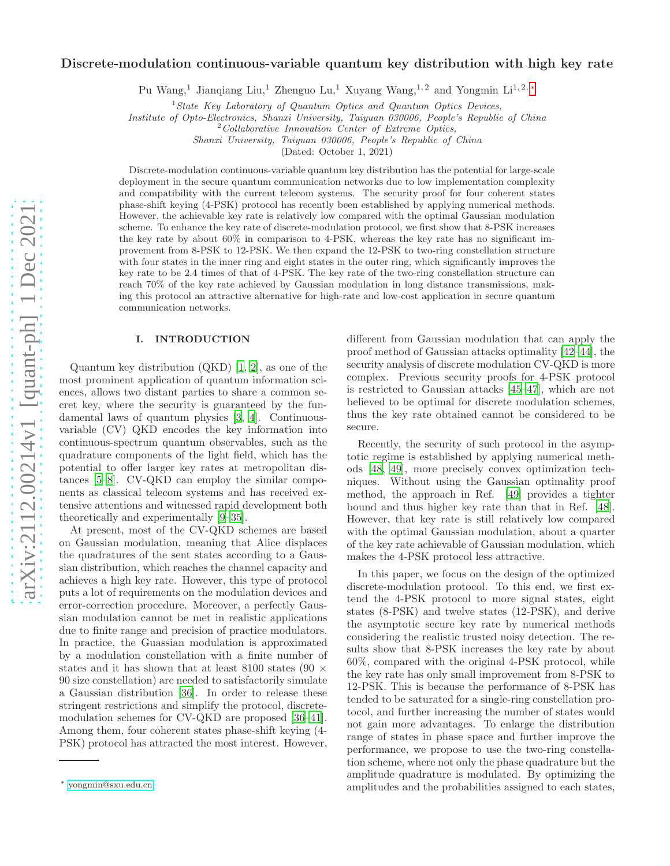# arXiv:2112.00214v1 [quant-ph] 1 Dec 2021 [arXiv:2112.00214v1 \[quant-ph\] 1 Dec 2021](http://arxiv.org/abs/2112.00214v1)

# Discrete-modulation continuous-variable quantum key distribution with high key rate

Pu Wang,<sup>1</sup> Jianqiang Liu,<sup>1</sup> Zhenguo Lu,<sup>1</sup> Xuyang Wang,<sup>1,2</sup> and Yongmin Li<sup>1,2,\*</sup>

 $1 States Key Laboratory of Quantum Optics and Quantum Optics Devices,$ 

Institute of Opto-Electronics, Shanxi University, Taiyuan 030006, People's Republic of China

 $2$ Collaborative Innovation Center of Extreme Optics,

Shanxi University, Taiyuan 030006, People's Republic of China

(Dated: October 1, 2021)

Discrete-modulation continuous-variable quantum key distribution has the potential for large-scale deployment in the secure quantum communication networks due to low implementation complexity and compatibility with the current telecom systems. The security proof for four coherent states phase-shift keying (4-PSK) protocol has recently been established by applying numerical methods. However, the achievable key rate is relatively low compared with the optimal Gaussian modulation scheme. To enhance the key rate of discrete-modulation protocol, we first show that 8-PSK increases the key rate by about 60% in comparison to 4-PSK, whereas the key rate has no significant improvement from 8-PSK to 12-PSK. We then expand the 12-PSK to two-ring constellation structure with four states in the inner ring and eight states in the outer ring, which significantly improves the key rate to be 2.4 times of that of 4-PSK. The key rate of the two-ring constellation structure can reach 70% of the key rate achieved by Gaussian modulation in long distance transmissions, making this protocol an attractive alternative for high-rate and low-cost application in secure quantum communication networks.

# I. INTRODUCTION

Quantum key distribution (QKD) [\[1](#page-6-0), [2](#page-6-1)], as one of the most prominent application of quantum information sciences, allows two distant parties to share a common secret key, where the security is guaranteed by the fundamental laws of quantum physics [\[3,](#page-7-0) [4](#page-7-1)]. Continuousvariable (CV) QKD encodes the key information into continuous-spectrum quantum observables, such as the quadrature components of the light field, which has the potential to offer larger key rates at metropolitan distances [\[5](#page-7-2)[–8](#page-7-3)]. CV-QKD can employ the similar components as classical telecom systems and has received extensive attentions and witnessed rapid development both theoretically and experimentally [\[9](#page-7-4)[–35\]](#page-8-0).

At present, most of the CV-QKD schemes are based on Gaussian modulation, meaning that Alice displaces the quadratures of the sent states according to a Gaussian distribution, which reaches the channel capacity and achieves a high key rate. However, this type of protocol puts a lot of requirements on the modulation devices and error-correction procedure. Moreover, a perfectly Gaussian modulation cannot be met in realistic applications due to finite range and precision of practice modulators. In practice, the Guassian modulation is approximated by a modulation constellation with a finite number of states and it has shown that at least 8100 states (90  $\times$ 90 size constellation) are needed to satisfactorily simulate a Gaussian distribution [\[36\]](#page-8-1). In order to release these stringent restrictions and simplify the protocol, discretemodulation schemes for CV-QKD are proposed [\[36](#page-8-1)[–41\]](#page-8-2). Among them, four coherent states phase-shift keying (4- PSK) protocol has attracted the most interest. However, different from Gaussian modulation that can apply the proof method of Gaussian attacks optimality [\[42](#page-8-3)[–44\]](#page-8-4), the security analysis of discrete modulation CV-QKD is more complex. Previous security proofs for 4-PSK protocol is restricted to Gaussian attacks [\[45](#page-8-5)[–47\]](#page-8-6), which are not believed to be optimal for discrete modulation schemes, thus the key rate obtained cannot be considered to be secure.

Recently, the security of such protocol in the asymptotic regime is established by applying numerical methods [\[48,](#page-8-7) [49](#page-8-8)], more precisely convex optimization techniques. Without using the Gaussian optimality proof method, the approach in Ref. [\[49](#page-8-8)] provides a tighter bound and thus higher key rate than that in Ref. [\[48\]](#page-8-7). However, that key rate is still relatively low compared with the optimal Gaussian modulation, about a quarter of the key rate achievable of Gaussian modulation, which makes the 4-PSK protocol less attractive.

In this paper, we focus on the design of the optimized discrete-modulation protocol. To this end, we first extend the 4-PSK protocol to more signal states, eight states (8-PSK) and twelve states (12-PSK), and derive the asymptotic secure key rate by numerical methods considering the realistic trusted noisy detection. The results show that 8-PSK increases the key rate by about 60%, compared with the original 4-PSK protocol, while the key rate has only small improvement from 8-PSK to 12-PSK. This is because the performance of 8-PSK has tended to be saturated for a single-ring constellation protocol, and further increasing the number of states would not gain more advantages. To enlarge the distribution range of states in phase space and further improve the performance, we propose to use the two-ring constellation scheme, where not only the phase quadrature but the amplitude quadrature is modulated. By optimizing the amplitudes and the probabilities assigned to each states,

<span id="page-0-0"></span><sup>∗</sup> [yongmin@sxu.edu.cn](mailto:yongmin@sxu.edu.cn)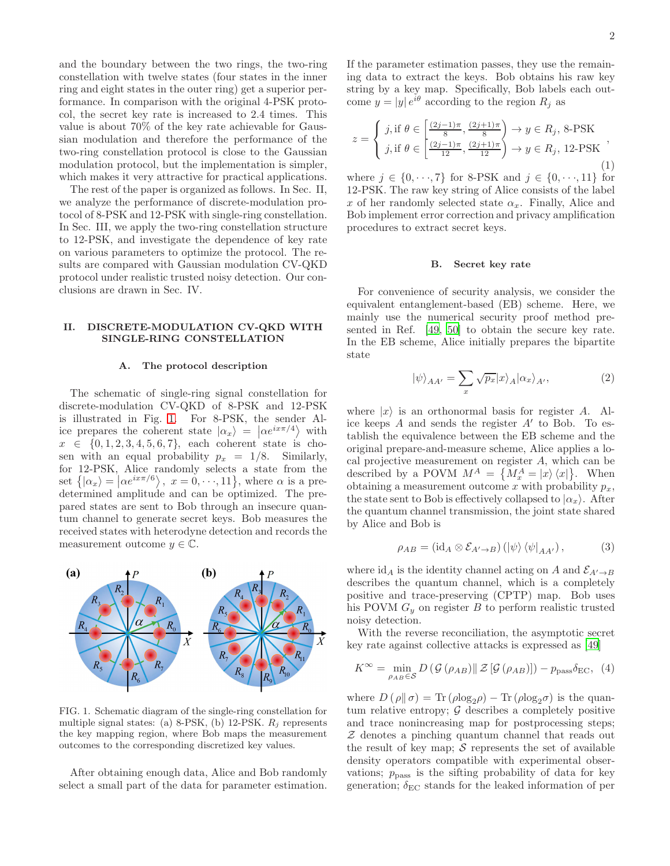and the boundary between the two rings, the two-ring constellation with twelve states (four states in the inner ring and eight states in the outer ring) get a superior performance. In comparison with the original 4-PSK protocol, the secret key rate is increased to 2.4 times. This value is about 70% of the key rate achievable for Gaussian modulation and therefore the performance of the two-ring constellation protocol is close to the Gaussian modulation protocol, but the implementation is simpler, which makes it very attractive for practical applications.

The rest of the paper is organized as follows. In Sec. II, we analyze the performance of discrete-modulation protocol of 8-PSK and 12-PSK with single-ring constellation. In Sec. III, we apply the two-ring constellation structure to 12-PSK, and investigate the dependence of key rate on various parameters to optimize the protocol. The results are compared with Gaussian modulation CV-QKD protocol under realistic trusted noisy detection. Our conclusions are drawn in Sec. IV.

# II. DISCRETE-MODULATION CV-QKD WITH SINGLE-RING CONSTELLATION

### A. The protocol description

The schematic of single-ring signal constellation for discrete-modulation CV-QKD of 8-PSK and 12-PSK is illustrated in Fig. [1.](#page-1-0) For 8-PSK, the sender Alice prepares the coherent state  $|\alpha_x\rangle = |\alpha e^{i x \pi/4}\rangle$  with  $x \in \{0, 1, 2, 3, 4, 5, 6, 7\}$ , each coherent state is chosen with an equal probability  $p_x = 1/8$ . Similarly, for 12-PSK, Alice randomly selects a state from the set  $\{|\alpha_x\rangle = |\alpha e^{i x \pi/6}\rangle, x = 0, \dots, 11\}$ , where  $\alpha$  is a predetermined amplitude and can be optimized. The prepared states are sent to Bob through an insecure quantum channel to generate secret keys. Bob measures the received states with heterodyne detection and records the measurement outcome  $y \in \mathbb{C}$ .



<span id="page-1-0"></span>FIG. 1. Schematic diagram of the single-ring constellation for multiple signal states: (a) 8-PSK, (b) 12-PSK.  $R_j$  represents the key mapping region, where Bob maps the measurement outcomes to the corresponding discretized key values.

After obtaining enough data, Alice and Bob randomly select a small part of the data for parameter estimation. If the parameter estimation passes, they use the remaining data to extract the keys. Bob obtains his raw key string by a key map. Specifically, Bob labels each outcome  $y = |y| e^{i\theta}$  according to the region  $R_j$  as

$$
z = \begin{cases} j, \text{if } \theta \in \left[\frac{(2j-1)\pi}{8}, \frac{(2j+1)\pi}{8}\right) \to y \in R_j, \text{ 8-PSK} \\ j, \text{if } \theta \in \left[\frac{(2j-1)\pi}{12}, \frac{(2j+1)\pi}{12}\right) \to y \in R_j, \text{ 12-PSK} \end{cases},
$$
(1)

where  $j \in \{0, \dots, 7\}$  for 8-PSK and  $j \in \{0, \dots, 11\}$  for 12-PSK. The raw key string of Alice consists of the label x of her randomly selected state  $\alpha_x$ . Finally, Alice and Bob implement error correction and privacy amplification procedures to extract secret keys.

### B. Secret key rate

For convenience of security analysis, we consider the equivalent entanglement-based (EB) scheme. Here, we mainly use the numerical security proof method presented in Ref. [\[49,](#page-8-8) [50\]](#page-8-9) to obtain the secure key rate. In the EB scheme, Alice initially prepares the bipartite state

$$
|\psi\rangle_{AA'} = \sum_{x} \sqrt{p_x} |x\rangle_A |\alpha_x\rangle_{A'}, \qquad (2)
$$

where  $|x\rangle$  is an orthonormal basis for register A. Alice keeps  $A$  and sends the register  $A'$  to Bob. To establish the equivalence between the EB scheme and the original prepare-and-measure scheme, Alice applies a local projective measurement on register A, which can be described by a POVM  $M^A = \{M_x^A = |x\rangle\langle x| \}$ . When obtaining a measurement outcome x with probability  $p_x$ , the state sent to Bob is effectively collapsed to  $|\alpha_x\rangle$ . After the quantum channel transmission, the joint state shared by Alice and Bob is

$$
\rho_{AB} = (\mathrm{id}_A \otimes \mathcal{E}_{A' \to B}) (\ket{\psi} \bra{\psi}_{AA'}, \tag{3}
$$

where id<sub>A</sub> is the identity channel acting on A and  $\mathcal{E}_{A'\to B}$ describes the quantum channel, which is a completely positive and trace-preserving (CPTP) map. Bob uses his POVM  $G_y$  on register B to perform realistic trusted noisy detection.

With the reverse reconciliation, the asymptotic secret key rate against collective attacks is expressed as [\[49](#page-8-8)]

$$
K^{\infty} = \min_{\rho_{AB} \in \mathcal{S}} D(\mathcal{G}(\rho_{AB}) || \mathcal{Z}[\mathcal{G}(\rho_{AB})]) - p_{\text{pass}} \delta_{\text{EC}}, \tag{4}
$$

where  $D(\rho||\sigma) = \text{Tr}(\rho \log_2 \rho) - \text{Tr}(\rho \log_2 \sigma)$  is the quantum relative entropy;  $\mathcal G$  describes a completely positive and trace nonincreasing map for postprocessing steps; Z denotes a pinching quantum channel that reads out the result of key map;  $\mathcal S$  represents the set of available density operators compatible with experimental observations;  $p_{\text{pass}}$  is the sifting probability of data for key generation;  $\delta_{EC}$  stands for the leaked information of per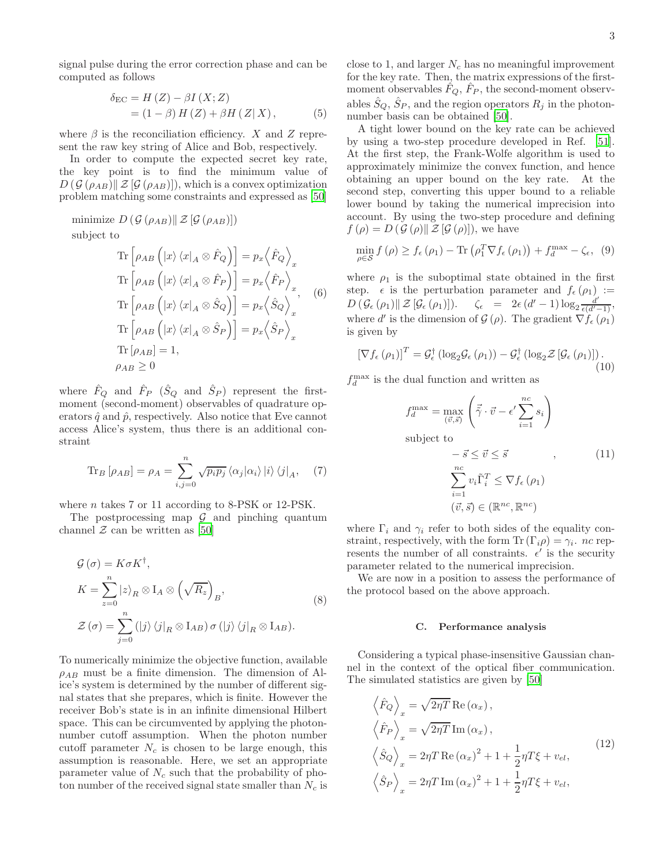signal pulse during the error correction phase and can be computed as follows

$$
\delta_{\rm EC} = H(Z) - \beta I(X;Z)
$$
  
=  $(1 - \beta) H(Z) + \beta H(Z|X)$ , (5)

where  $\beta$  is the reconciliation efficiency. X and Z represent the raw key string of Alice and Bob, respectively.

In order to compute the expected secret key rate, the key point is to find the minimum value of  $D(\mathcal{G}(\rho_{AB})||\mathcal{Z}[\mathcal{G}(\rho_{AB})])$ , which is a convex optimization problem matching some constraints and expressed as [\[50](#page-8-9)]

minimize  $D\left(\mathcal{G}\left(\rho_{AB}\right)\|\mathcal{Z}\left[\mathcal{G}\left(\rho_{AB}\right)\right]\right)$ subject to  $\overline{a}$ 

$$
\operatorname{Tr}\left[\rho_{AB}\left(|x\rangle\langle x|_{A}\otimes \hat{F}_{Q}\right)\right] = p_{x}\left\langle\hat{F}_{Q}\right\rangle_{x}
$$
\n
$$
\operatorname{Tr}\left[\rho_{AB}\left(|x\rangle\langle x|_{A}\otimes \hat{F}_{P}\right)\right] = p_{x}\left\langle\hat{F}_{P}\right\rangle_{x}, \quad (6)
$$
\n
$$
\operatorname{Tr}\left[\rho_{AB}\left(|x\rangle\langle x|_{A}\otimes \hat{S}_{Q}\right)\right] = p_{x}\left\langle\hat{S}_{Q}\right\rangle_{x}, \quad (6)
$$
\n
$$
\operatorname{Tr}\left[\rho_{AB}\left(|x\rangle\langle x|_{A}\otimes \hat{S}_{P}\right)\right] = p_{x}\left\langle\hat{S}_{P}\right\rangle_{x}
$$
\n
$$
\operatorname{Tr}\left[\rho_{AB}\right] = 1, \quad \rho_{AB} \geq 0
$$

where  $\hat{F}_Q$  and  $\hat{F}_P$   $(\hat{S}_Q$  and  $\hat{S}_P)$  represent the firstmoment (second-moment) observables of quadrature operators  $\hat{q}$  and  $\hat{p}$ , respectively. Also notice that Eve cannot access Alice's system, thus there is an additional constraint

$$
\text{Tr}_B\left[\rho_{AB}\right] = \rho_A = \sum_{i,j=0}^n \sqrt{p_i p_j} \left\langle \alpha_j | \alpha_i \right\rangle \left| i \right\rangle \left\langle j \right|_A, \quad (7)
$$

where *n* takes 7 or 11 according to 8-PSK or 12-PSK.

The postprocessing map  $\mathcal G$  and pinching quantum channel  $\mathcal Z$  can be written as [\[50](#page-8-9)]

$$
\mathcal{G}(\sigma) = K \sigma K^{\dagger},
$$
\n
$$
K = \sum_{z=0}^{n} |z\rangle_{R} \otimes I_{A} \otimes \left(\sqrt{R_{z}}\right)_{B},
$$
\n
$$
\mathcal{Z}(\sigma) = \sum_{j=0}^{n} (|j\rangle \langle j|_{R} \otimes I_{AB}) \sigma (|j\rangle \langle j|_{R} \otimes I_{AB}).
$$
\n(8)

To numerically minimize the objective function, available  $\rho_{AB}$  must be a finite dimension. The dimension of Alice's system is determined by the number of different signal states that she prepares, which is finite. However the receiver Bob's state is in an infinite dimensional Hilbert space. This can be circumvented by applying the photonnumber cutoff assumption. When the photon number cutoff parameter  $N_c$  is chosen to be large enough, this assumption is reasonable. Here, we set an appropriate parameter value of  $N_c$  such that the probability of photon number of the received signal state smaller than  $N_c$  is

close to 1, and larger  $N_c$  has no meaningful improvement for the key rate. Then, the matrix expressions of the firstmoment observables  $\hat{F}_Q$ ,  $\hat{F}_P$ , the second-moment observables  $\hat{S}_Q$ ,  $\hat{S}_P$ , and the region operators  $R_j$  in the photonnumber basis can be obtained [\[50](#page-8-9)].

A tight lower bound on the key rate can be achieved by using a two-step procedure developed in Ref. [\[51\]](#page-8-10). At the first step, the Frank-Wolfe algorithm is used to approximately minimize the convex function, and hence obtaining an upper bound on the key rate. At the second step, converting this upper bound to a reliable lower bound by taking the numerical imprecision into account. By using the two-step procedure and defining  $f(\rho) = D(\mathcal{G}(\rho) || \mathcal{Z}[\mathcal{G}(\rho)]),$  we have

$$
\min_{\rho \in \mathcal{S}} f(\rho) \ge f_{\epsilon}(\rho_1) - \text{Tr}\left(\rho_1^T \nabla f_{\epsilon}(\rho_1)\right) + f_d^{\max} - \zeta_{\epsilon}, \tag{9}
$$

where  $\rho_1$  is the suboptimal state obtained in the first step.  $\epsilon$  is the perturbation parameter and  $f_{\epsilon}(\rho_1) :=$  $D\left(\mathcal{G}_{\epsilon}\left(\rho_{1}\right)\|\mathcal{Z}\left[\mathcal{G}_{\epsilon}\left(\rho_{1}\right)\right]\right). \quad \zeta_{\epsilon} = 2\epsilon\left(d'-1\right) \log_{2} \frac{d'}{\epsilon\left(d'-1\right)},$ where d' is the dimension of  $\mathcal{G}(\rho)$ . The gradient  $\nabla f_{\epsilon}(\rho_1)$ is given by

$$
\left[\nabla f_{\epsilon}\left(\rho_{1}\right)\right]^{T} = \mathcal{G}_{\epsilon}^{\dagger}\left(\log_{2} \mathcal{G}_{\epsilon}\left(\rho_{1}\right)\right) - \mathcal{G}_{\epsilon}^{\dagger}\left(\log_{2} \mathcal{Z}\left[\mathcal{G}_{\epsilon}\left(\rho_{1}\right)\right]\right). \tag{10}
$$

 $f_d^{\text{max}}$  is the dual function and written as

$$
f_d^{\max} = \max_{(\vec{v}, \vec{s})} \left( \vec{\tilde{\gamma}} \cdot \vec{v} - \epsilon' \sum_{i=1}^{nc} s_i \right)
$$
  
subject to  

$$
-\vec{s} \leq \vec{v} \leq \vec{s} \qquad , \qquad (11)
$$

$$
\sum_{i=1}^{nc} v_i \tilde{\Gamma}_i^T \leq \nabla f_{\epsilon}(\rho_1)
$$

$$
(\vec{v}, \vec{s}) \in (\mathbb{R}^{nc}, \mathbb{R}^{nc})
$$

where  $\Gamma_i$  and  $\gamma_i$  refer to both sides of the equality constraint, respectively, with the form Tr  $(\Gamma_i \rho) = \gamma_i$ . nc represents the number of all constraints.  $\epsilon'$  is the security parameter related to the numerical imprecision.

We are now in a position to assess the performance of the protocol based on the above approach.

### C. Performance analysis

Considering a typical phase-insensitive Gaussian channel in the context of the optical fiber communication. The simulated statistics are given by [\[50\]](#page-8-9)

$$
\left\langle \hat{F}_Q \right\rangle_x = \sqrt{2\eta T} \operatorname{Re} (\alpha_x),
$$
  
\n
$$
\left\langle \hat{F}_P \right\rangle_x = \sqrt{2\eta T} \operatorname{Im} (\alpha_x),
$$
  
\n
$$
\left\langle \hat{S}_Q \right\rangle_x = 2\eta T \operatorname{Re} (\alpha_x)^2 + 1 + \frac{1}{2} \eta T \xi + v_{el},
$$
  
\n
$$
\left\langle \hat{S}_P \right\rangle_x = 2\eta T \operatorname{Im} (\alpha_x)^2 + 1 + \frac{1}{2} \eta T \xi + v_{el},
$$
\n(12)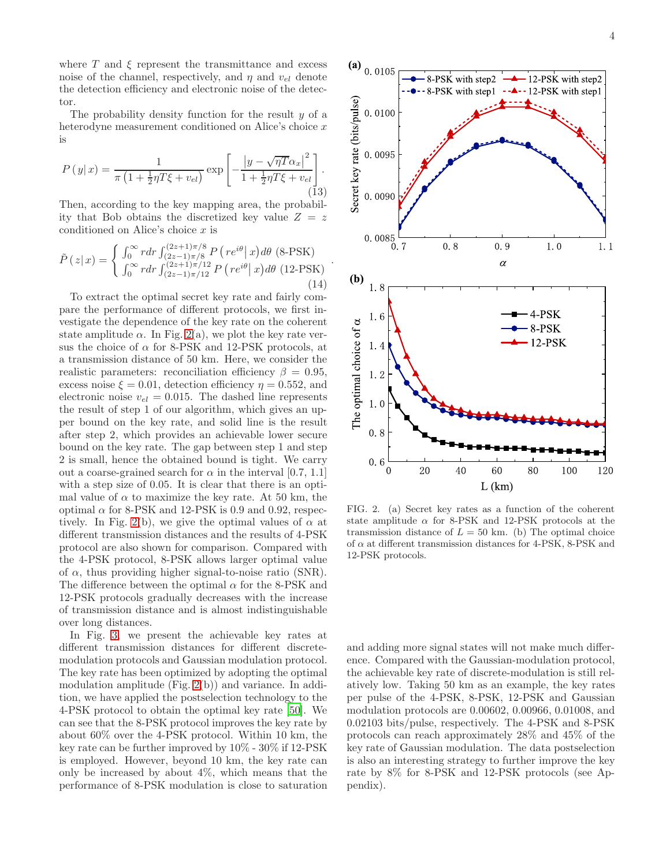where  $T$  and  $\xi$  represent the transmittance and excess noise of the channel, respectively, and  $\eta$  and  $v_{el}$  denote the detection efficiency and electronic noise of the detector.

The probability density function for the result  $y$  of a heterodyne measurement conditioned on Alice's choice x is

$$
P(y|x) = \frac{1}{\pi \left(1 + \frac{1}{2}\eta T \xi + v_{el}\right)} \exp\left[-\frac{\left|y - \sqrt{\eta T} \alpha_x\right|^2}{1 + \frac{1}{2}\eta T \xi + v_{el}}\right].
$$
\n(13)

Then, according to the key mapping area, the probability that Bob obtains the discretized key value  $Z = z$ conditioned on Alice's choice x is

$$
\tilde{P}(z|x) = \begin{cases}\n\int_0^\infty r dr \int_{(2z-1)\pi/8}^{(2z+1)\pi/8} P(r e^{i\theta} | x) d\theta \text{ (8-PSK)} \\
\int_0^\infty r dr \int_{(2z-1)\pi/12}^{(2z+1)\pi/12} P(r e^{i\theta} | x) d\theta \text{ (12-PSK)}\n\end{cases}
$$
\n(14)

To extract the optimal secret key rate and fairly compare the performance of different protocols, we first investigate the dependence of the key rate on the coherent state amplitude  $\alpha$ . In Fig. [2\(](#page-3-0)a), we plot the key rate versus the choice of  $\alpha$  for 8-PSK and 12-PSK protocols, at a transmission distance of 50 km. Here, we consider the realistic parameters: reconciliation efficiency  $\beta = 0.95$ , excess noise  $\xi = 0.01$ , detection efficiency  $\eta = 0.552$ , and electronic noise  $v_{el} = 0.015$ . The dashed line represents the result of step 1 of our algorithm, which gives an upper bound on the key rate, and solid line is the result after step 2, which provides an achievable lower secure bound on the key rate. The gap between step 1 and step 2 is small, hence the obtained bound is tight. We carry out a coarse-grained search for  $\alpha$  in the interval [0.7, 1.1] with a step size of 0.05. It is clear that there is an optimal value of  $\alpha$  to maximize the key rate. At 50 km, the optimal  $\alpha$  for 8-PSK and 12-PSK is 0.9 and 0.92, respec-tively. In Fig. [2\(](#page-3-0)b), we give the optimal values of  $\alpha$  at different transmission distances and the results of 4-PSK protocol are also shown for comparison. Compared with the 4-PSK protocol, 8-PSK allows larger optimal value of  $\alpha$ , thus providing higher signal-to-noise ratio (SNR). The difference between the optimal  $\alpha$  for the 8-PSK and 12-PSK protocols gradually decreases with the increase of transmission distance and is almost indistinguishable over long distances.

In Fig. [3,](#page-4-0) we present the achievable key rates at different transmission distances for different discretemodulation protocols and Gaussian modulation protocol. The key rate has been optimized by adopting the optimal modulation amplitude (Fig. [2\(](#page-3-0)b)) and variance. In addition, we have applied the postselection technology to the 4-PSK protocol to obtain the optimal key rate [\[50\]](#page-8-9). We can see that the 8-PSK protocol improves the key rate by about 60% over the 4-PSK protocol. Within 10 km, the key rate can be further improved by 10% - 30% if 12-PSK is employed. However, beyond 10 km, the key rate can only be increased by about 4%, which means that the performance of 8-PSK modulation is close to saturation



<span id="page-3-0"></span>FIG. 2. (a) Secret key rates as a function of the coherent state amplitude  $\alpha$  for 8-PSK and 12-PSK protocols at the transmission distance of  $L = 50$  km. (b) The optimal choice of  $\alpha$  at different transmission distances for 4-PSK, 8-PSK and 12-PSK protocols.

and adding more signal states will not make much difference. Compared with the Gaussian-modulation protocol, the achievable key rate of discrete-modulation is still relatively low. Taking 50 km as an example, the key rates per pulse of the 4-PSK, 8-PSK, 12-PSK and Gaussian modulation protocols are 0.00602, 0.00966, 0.01008, and 0.02103 bits/pulse, respectively. The 4-PSK and 8-PSK protocols can reach approximately 28% and 45% of the key rate of Gaussian modulation. The data postselection is also an interesting strategy to further improve the key rate by 8% for 8-PSK and 12-PSK protocols (see Appendix).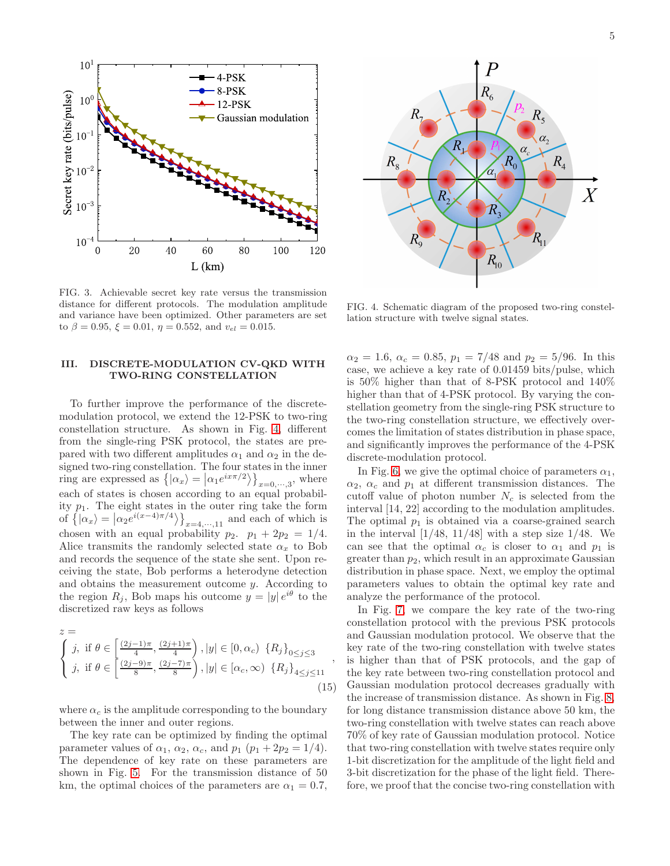

<span id="page-4-0"></span>FIG. 3. Achievable secret key rate versus the transmission distance for different protocols. The modulation amplitude and variance have been optimized. Other parameters are set to  $\beta = 0.95$ ,  $\xi = 0.01$ ,  $\eta = 0.552$ , and  $v_{el} = 0.015$ .

# III. DISCRETE-MODULATION CV-QKD WITH TWO-RING CONSTELLATION

To further improve the performance of the discretemodulation protocol, we extend the 12-PSK to two-ring constellation structure. As shown in Fig. [4,](#page-4-1) different from the single-ring PSK protocol, the states are prepared with two different amplitudes  $\alpha_1$  and  $\alpha_2$  in the designed two-ring constellation. The four states in the inner ring are expressed as  $\left\{ |\alpha_x\rangle = |\alpha_1 e^{ix\pi/2}\rangle \right\}_{x=0,\dots,3}$ , where each of states is chosen according to an equal probability  $p_1$ . The eight states in the outer ring take the form of  $\left\{ |\alpha_x\rangle = |\alpha_2 e^{i(x-4)\pi/4} \rangle \right\}_{x=4,\cdots,11}$  and each of which is chosen with an equal probability  $p_2$ .  $p_1 + 2p_2 = 1/4$ . Alice transmits the randomly selected state  $\alpha_x$  to Bob and records the sequence of the state she sent. Upon receiving the state, Bob performs a heterodyne detection and obtains the measurement outcome  $y$ . According to the region  $R_j$ , Bob maps his outcome  $y = |y| e^{i\theta}$  to the discretized raw keys as follows

$$
z = \begin{cases} j, & \text{if } \theta \in \left[\frac{(2j-1)\pi}{4}, \frac{(2j+1)\pi}{4}\right), |y| \in [0, \alpha_c) \{R_j\}_{0 \le j \le 3} \\ j, & \text{if } \theta \in \left[\frac{(2j-9)\pi}{8}, \frac{(2j-7)\pi}{8}\right), |y| \in [\alpha_c, \infty) \{R_j\}_{4 \le j \le 11} \end{cases} \tag{15}
$$

where  $\alpha_c$  is the amplitude corresponding to the boundary between the inner and outer regions.

The key rate can be optimized by finding the optimal parameter values of  $\alpha_1$ ,  $\alpha_2$ ,  $\alpha_c$ , and  $p_1$   $(p_1 + 2p_2 = 1/4)$ . The dependence of key rate on these parameters are shown in Fig. [5.](#page-5-0) For the transmission distance of 50 km, the optimal choices of the parameters are  $\alpha_1 = 0.7$ ,



<span id="page-4-1"></span>FIG. 4. Schematic diagram of the proposed two-ring constellation structure with twelve signal states.

 $\alpha_2 = 1.6, \ \alpha_c = 0.85, \ p_1 = 7/48 \text{ and } p_2 = 5/96.$  In this case, we achieve a key rate of 0.01459 bits/pulse, which is 50% higher than that of 8-PSK protocol and 140% higher than that of 4-PSK protocol. By varying the constellation geometry from the single-ring PSK structure to the two-ring constellation structure, we effectively overcomes the limitation of states distribution in phase space, and significantly improves the performance of the 4-PSK discrete-modulation protocol.

In Fig. [6,](#page-5-1) we give the optimal choice of parameters  $\alpha_1$ ,  $\alpha_2$ ,  $\alpha_c$  and  $p_1$  at different transmission distances. The cutoff value of photon number  $N_c$  is selected from the interval [14, 22] according to the modulation amplitudes. The optimal  $p_1$  is obtained via a coarse-grained search in the interval  $\left[1/48, 11/48\right]$  with a step size  $1/48$ . We can see that the optimal  $\alpha_c$  is closer to  $\alpha_1$  and  $p_1$  is greater than  $p_2$ , which result in an approximate Gaussian distribution in phase space. Next, we employ the optimal parameters values to obtain the optimal key rate and analyze the performance of the protocol.

In Fig. [7,](#page-5-2) we compare the key rate of the two-ring constellation protocol with the previous PSK protocols and Gaussian modulation protocol. We observe that the key rate of the two-ring constellation with twelve states is higher than that of PSK protocols, and the gap of the key rate between two-ring constellation protocol and Gaussian modulation protocol decreases gradually with the increase of transmission distance. As shown in Fig. [8,](#page-6-2) for long distance transmission distance above 50 km, the two-ring constellation with twelve states can reach above 70% of key rate of Gaussian modulation protocol. Notice that two-ring constellation with twelve states require only 1-bit discretization for the amplitude of the light field and 3-bit discretization for the phase of the light field. Therefore, we proof that the concise two-ring constellation with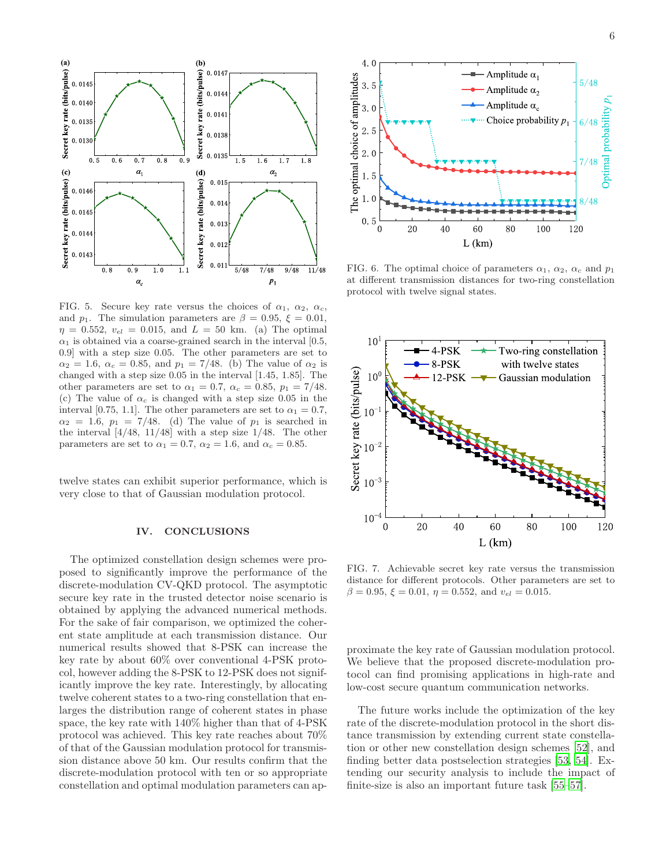

<span id="page-5-0"></span>FIG. 5. Secure key rate versus the choices of  $\alpha_1$ ,  $\alpha_2$ ,  $\alpha_c$ , and  $p_1$ . The simulation parameters are  $\beta = 0.95, \xi = 0.01$ ,  $\eta = 0.552, v_{el} = 0.015, \text{ and } L = 50 \text{ km.}$  (a) The optimal  $\alpha_1$  is obtained via a coarse-grained search in the interval [0.5, 0.9] with a step size 0.05. The other parameters are set to  $\alpha_2 = 1.6$ ,  $\alpha_c = 0.85$ , and  $p_1 = 7/48$ . (b) The value of  $\alpha_2$  is changed with a step size 0.05 in the interval [1.45, 1.85]. The other parameters are set to  $\alpha_1 = 0.7$ ,  $\alpha_c = 0.85$ ,  $p_1 = 7/48$ . (c) The value of  $\alpha_c$  is changed with a step size 0.05 in the interval [0.75, 1.1]. The other parameters are set to  $\alpha_1 = 0.7$ ,  $\alpha_2 = 1.6$ ,  $p_1 = 7/48$ . (d) The value of  $p_1$  is searched in the interval  $\left[4/48, 11/48\right]$  with a step size  $1/48$ . The other parameters are set to  $\alpha_1 = 0.7$ ,  $\alpha_2 = 1.6$ , and  $\alpha_c = 0.85$ .

twelve states can exhibit superior performance, which is very close to that of Gaussian modulation protocol.

# IV. CONCLUSIONS

The optimized constellation design schemes were proposed to significantly improve the performance of the discrete-modulation CV-QKD protocol. The asymptotic secure key rate in the trusted detector noise scenario is obtained by applying the advanced numerical methods. For the sake of fair comparison, we optimized the coherent state amplitude at each transmission distance. Our numerical results showed that 8-PSK can increase the key rate by about 60% over conventional 4-PSK protocol, however adding the 8-PSK to 12-PSK does not significantly improve the key rate. Interestingly, by allocating twelve coherent states to a two-ring constellation that enlarges the distribution range of coherent states in phase space, the key rate with 140% higher than that of 4-PSK protocol was achieved. This key rate reaches about 70% of that of the Gaussian modulation protocol for transmission distance above 50 km. Our results confirm that the discrete-modulation protocol with ten or so appropriate constellation and optimal modulation parameters can ap-



<span id="page-5-1"></span>FIG. 6. The optimal choice of parameters  $\alpha_1$ ,  $\alpha_2$ ,  $\alpha_c$  and  $p_1$ at different transmission distances for two-ring constellation protocol with twelve signal states.



<span id="page-5-2"></span>FIG. 7. Achievable secret key rate versus the transmission distance for different protocols. Other parameters are set to  $\beta = 0.95, \xi = 0.01, \eta = 0.552, \text{ and } v_{el} = 0.015.$ 

proximate the key rate of Gaussian modulation protocol. We believe that the proposed discrete-modulation protocol can find promising applications in high-rate and low-cost secure quantum communication networks.

The future works include the optimization of the key rate of the discrete-modulation protocol in the short distance transmission by extending current state constellation or other new constellation design schemes [\[52\]](#page-8-11), and finding better data postselection strategies [\[53,](#page-8-12) [54](#page-8-13)]. Extending our security analysis to include the impact of finite-size is also an important future task [\[55](#page-8-14)[–57\]](#page-8-15).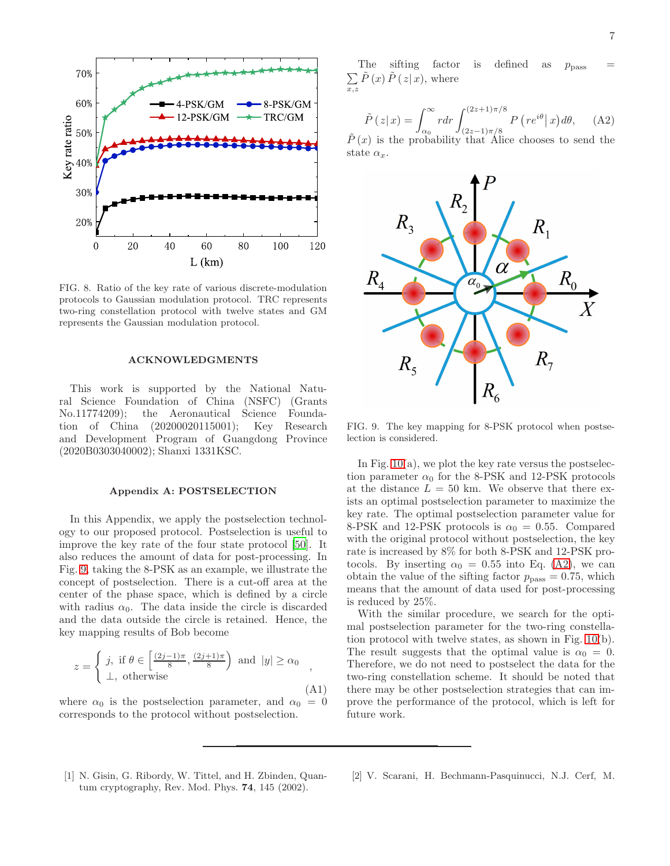

<span id="page-6-2"></span>FIG. 8. Ratio of the key rate of various discrete-modulation protocols to Gaussian modulation protocol. TRC represents two-ring constellation protocol with twelve states and GM represents the Gaussian modulation protocol.

# ACKNOWLEDGMENTS

This work is supported by the National Natural Science Foundation of China (NSFC) (Grants No.11774209); the Aeronautical Science Foundation of China (20200020115001); Key Research and Development Program of Guangdong Province (2020B0303040002); Shanxi 1331KSC.

# Appendix A: POSTSELECTION

In this Appendix, we apply the postselection technology to our proposed protocol. Postselection is useful to improve the key rate of the four state protocol [\[50\]](#page-8-9). It also reduces the amount of data for post-processing. In Fig. [9,](#page-6-3) taking the 8-PSK as an example, we illustrate the concept of postselection. There is a cut-off area at the center of the phase space, which is defined by a circle with radius  $\alpha_0$ . The data inside the circle is discarded and the data outside the circle is retained. Hence, the key mapping results of Bob become

$$
z = \begin{cases} j, & \text{if } \theta \in \left[\frac{(2j-1)\pi}{8}, \frac{(2j+1)\pi}{8}\right) \text{ and } |y| \ge \alpha_0 \\ \perp, & \text{otherwise} \end{cases}
$$
 (A1)

where  $\alpha_0$  is the postselection parameter, and  $\alpha_0 = 0$ corresponds to the protocol without postselection.

The sifting factor is defined as  $p_{\text{pass}}$  =  $\sum_{x,z}\tilde{P}\left(x\right)\tilde{P}\left(\left.z\right|x\right),\,\text{where}$ 

<span id="page-6-4"></span>
$$
\tilde{P}(z|x) = \int_{\alpha_0}^{\infty} r dr \int_{(2z-1)\pi/8}^{(2z+1)\pi/8} P(r e^{i\theta} | x) d\theta, \quad \text{(A2)}
$$

 $\tilde{P}(x)$  is the probability that Alice chooses to send the state  $\alpha_r$ .



<span id="page-6-3"></span>FIG. 9. The key mapping for 8-PSK protocol when postselection is considered.

In Fig.  $10(a)$ , we plot the key rate versus the postselection parameter  $\alpha_0$  for the 8-PSK and 12-PSK protocols at the distance  $L = 50$  km. We observe that there exists an optimal postselection parameter to maximize the key rate. The optimal postselection parameter value for 8-PSK and 12-PSK protocols is  $\alpha_0 = 0.55$ . Compared with the original protocol without postselection, the key rate is increased by 8% for both 8-PSK and 12-PSK protocols. By inserting  $\alpha_0 = 0.55$  into Eq. [\(A2\)](#page-6-4), we can obtain the value of the sifting factor  $p_{\text{pass}} = 0.75$ , which means that the amount of data used for post-processing is reduced by 25%.

With the similar procedure, we search for the optimal postselection parameter for the two-ring constellation protocol with twelve states, as shown in Fig. [10\(](#page-7-5)b). The result suggests that the optimal value is  $\alpha_0 = 0$ . Therefore, we do not need to postselect the data for the two-ring constellation scheme. It should be noted that there may be other postselection strategies that can improve the performance of the protocol, which is left for future work.

- <span id="page-6-0"></span>[1] N. Gisin, G. Ribordy, W. Tittel, and H. Zbinden, Quantum cryptography, Rev. Mod. Phys. 74, 145 (2002).
- <span id="page-6-1"></span>[2] V. Scarani, H. Bechmann-Pasquinucci, N.J. Cerf, M.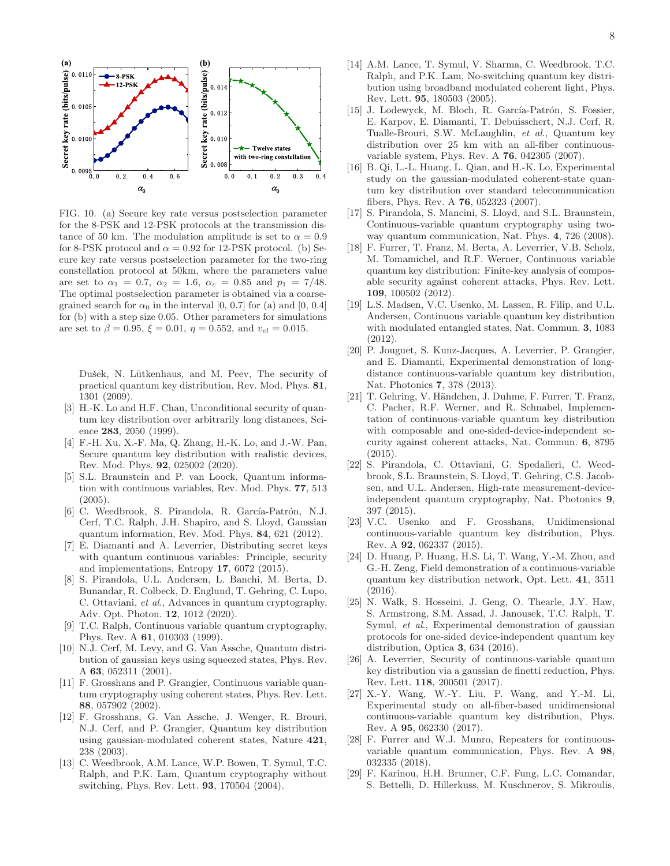

<span id="page-7-5"></span>FIG. 10. (a) Secure key rate versus postselection parameter for the 8-PSK and 12-PSK protocols at the transmission distance of 50 km. The modulation amplitude is set to  $\alpha = 0.9$ for 8-PSK protocol and  $\alpha = 0.92$  for 12-PSK protocol. (b) Secure key rate versus postselection parameter for the two-ring constellation protocol at 50km, where the parameters value are set to  $\alpha_1 = 0.7$ ,  $\alpha_2 = 1.6$ ,  $\alpha_c = 0.85$  and  $p_1 = 7/48$ . The optimal postselection parameter is obtained via a coarsegrained search for  $\alpha_0$  in the interval [0, 0.7] for (a) and [0, 0.4] for (b) with a step size 0.05. Other parameters for simulations are set to  $\beta = 0.95$ ,  $\xi = 0.01$ ,  $\eta = 0.552$ , and  $v_{el} = 0.015$ .

Dušek, N. Lütkenhaus, and M. Peev, The security of practical quantum key distribution, Rev. Mod. Phys. 81, 1301 (2009).

- <span id="page-7-0"></span>[3] H.-K. Lo and H.F. Chau, Unconditional security of quantum key distribution over arbitrarily long distances, Science 283, 2050 (1999).
- <span id="page-7-1"></span>[4] F.-H. Xu, X.-F. Ma, Q. Zhang, H.-K. Lo, and J.-W. Pan, Secure quantum key distribution with realistic devices, Rev. Mod. Phys. 92, 025002 (2020).
- <span id="page-7-2"></span>[5] S.L. Braunstein and P. van Loock, Quantum information with continuous variables, Rev. Mod. Phys. 77, 513 (2005).
- [6] C. Weedbrook, S. Pirandola, R. García-Patrón, N.J. Cerf, T.C. Ralph, J.H. Shapiro, and S. Lloyd, Gaussian quantum information, Rev. Mod. Phys. 84, 621 (2012).
- [7] E. Diamanti and A. Leverrier, Distributing secret keys with quantum continuous variables: Principle, security and implementations, Entropy 17, 6072 (2015).
- <span id="page-7-3"></span>[8] S. Pirandola, U.L. Andersen, L. Banchi, M. Berta, D. Bunandar, R. Colbeck, D. Englund, T. Gehring, C. Lupo, C. Ottaviani, et al., Advances in quantum cryptography, Adv. Opt. Photon. 12, 1012 (2020).
- <span id="page-7-4"></span>[9] T.C. Ralph, Continuous variable quantum cryptography, Phys. Rev. A 61, 010303 (1999).
- [10] N.J. Cerf, M. Levy, and G. Van Assche, Quantum distribution of gaussian keys using squeezed states, Phys. Rev. A 63, 052311 (2001).
- [11] F. Grosshans and P. Grangier, Continuous variable quantum cryptography using coherent states, Phys. Rev. Lett. 88, 057902 (2002).
- [12] F. Grosshans, G. Van Assche, J. Wenger, R. Brouri, N.J. Cerf, and P. Grangier, Quantum key distribution using gaussian-modulated coherent states, Nature 421, 238 (2003).
- [13] C. Weedbrook, A.M. Lance, W.P. Bowen, T. Symul, T.C. Ralph, and P.K. Lam, Quantum cryptography without switching, Phys. Rev. Lett. 93, 170504 (2004).
- [14] A.M. Lance, T. Symul, V. Sharma, C. Weedbrook, T.C. Ralph, and P.K. Lam, No-switching quantum key distribution using broadband modulated coherent light, Phys. Rev. Lett. 95, 180503 (2005).
- [15] J. Lodewyck, M. Bloch, R. García-Patrón, S. Fossier, E. Karpov, E. Diamanti, T. Debuisschert, N.J. Cerf, R. Tualle-Brouri, S.W. McLaughlin, et al., Quantum key distribution over 25 km with an all-fiber continuousvariable system, Phys. Rev. A 76, 042305 (2007).
- [16] B. Qi, L.-L. Huang, L. Qian, and H.-K. Lo, Experimental study on the gaussian-modulated coherent-state quantum key distribution over standard telecommunication fibers, Phys. Rev. A 76, 052323 (2007).
- [17] S. Pirandola, S. Mancini, S. Lloyd, and S.L. Braunstein, Continuous-variable quantum cryptography using twoway quantum communication, Nat. Phys. 4, 726 (2008).
- [18] F. Furrer, T. Franz, M. Berta, A. Leverrier, V.B. Scholz, M. Tomamichel, and R.F. Werner, Continuous variable quantum key distribution: Finite-key analysis of composable security against coherent attacks, Phys. Rev. Lett. 109, 100502 (2012).
- [19] L.S. Madsen, V.C. Usenko, M. Lassen, R. Filip, and U.L. Andersen, Continuous variable quantum key distribution with modulated entangled states, Nat. Commun. 3, 1083 (2012).
- [20] P. Jouguet, S. Kunz-Jacques, A. Leverrier, P. Grangier, and E. Diamanti, Experimental demonstration of longdistance continuous-variable quantum key distribution, Nat. Photonics 7, 378 (2013).
- [21] T. Gehring, V. Händchen, J. Duhme, F. Furrer, T. Franz, C. Pacher, R.F. Werner, and R. Schnabel, Implementation of continuous-variable quantum key distribution with composable and one-sided-device-independent security against coherent attacks, Nat. Commun. 6, 8795 (2015).
- [22] S. Pirandola, C. Ottaviani, G. Spedalieri, C. Weedbrook, S.L. Braunstein, S. Lloyd, T. Gehring, C.S. Jacobsen, and U.L. Andersen, High-rate measurement-deviceindependent quantum cryptography, Nat. Photonics 9, 397 (2015).
- [23] V.C. Usenko and F. Grosshans, Unidimensional continuous-variable quantum key distribution, Phys. Rev. A 92, 062337 (2015).
- [24] D. Huang, P. Huang, H.S. Li, T. Wang, Y.-M. Zhou, and G.-H. Zeng, Field demonstration of a continuous-variable quantum key distribution network, Opt. Lett. 41, 3511 (2016).
- [25] N. Walk, S. Hosseini, J. Geng, O. Thearle, J.Y. Haw, S. Armstrong, S.M. Assad, J. Janousek, T.C. Ralph, T. Symul, et al., Experimental demonstration of gaussian protocols for one-sided device-independent quantum key distribution, Optica 3, 634 (2016).
- [26] A. Leverrier, Security of continuous-variable quantum key distribution via a gaussian de finetti reduction, Phys. Rev. Lett. 118, 200501 (2017).
- [27] X.-Y. Wang, W.-Y. Liu, P. Wang, and Y.-M. Li, Experimental study on all-fiber-based unidimensional continuous-variable quantum key distribution, Phys. Rev. A 95, 062330 (2017).
- [28] F. Furrer and W.J. Munro, Repeaters for continuousvariable quantum communication, Phys. Rev. A 98, 032335 (2018).
- [29] F. Karinou, H.H. Brunner, C.F. Fung, L.C. Comandar, S. Bettelli, D. Hillerkuss, M. Kuschnerov, S. Mikroulis,